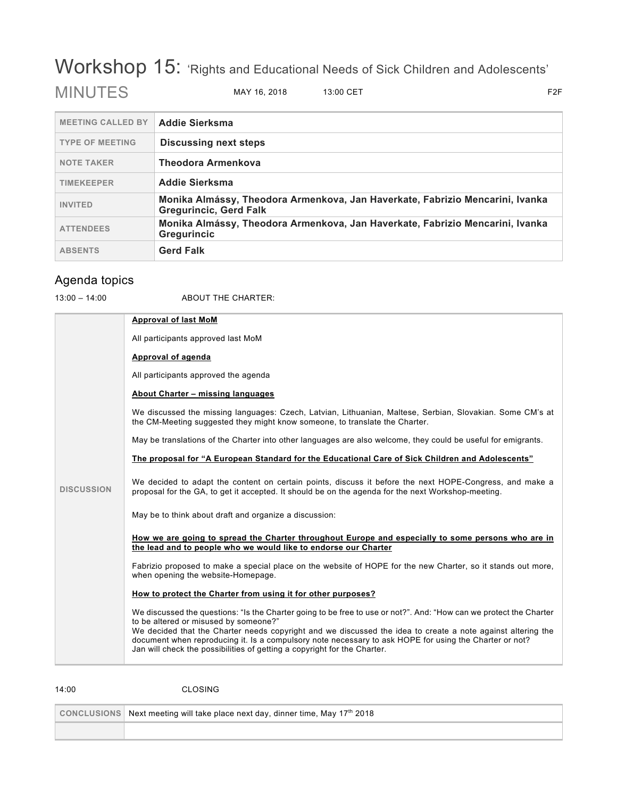## Workshop 15: 'Rights and Educational Needs of Sick Children and Adolescents'

| <b>MEETING CALLED BY</b> | <b>Addie Sierksma</b>                                                                                          |
|--------------------------|----------------------------------------------------------------------------------------------------------------|
| <b>TYPE OF MEETING</b>   | Discussing next steps                                                                                          |
| <b>NOTE TAKER</b>        | <b>Theodora Armenkova</b>                                                                                      |
| <b>TIMEKEEPER</b>        | <b>Addie Sierksma</b>                                                                                          |
| <b>INVITED</b>           | Monika Almássy, Theodora Armenkova, Jan Haverkate, Fabrizio Mencarini, Ivanka<br><b>Gregurincic, Gerd Falk</b> |
| <b>ATTENDEES</b>         | Monika Almássy, Theodora Armenkova, Jan Haverkate, Fabrizio Mencarini, Ivanka<br><b>Gregurincic</b>            |
| <b>ABSENTS</b>           | <b>Gerd Falk</b>                                                                                               |

## Agenda topics

14:00 CLOSING

13:00 – 14:00 ABOUT THE CHARTER:

| <b>DISCUSSION</b> | <b>Approval of last MoM</b>                                                                                                                                                                                                                                                                       |
|-------------------|---------------------------------------------------------------------------------------------------------------------------------------------------------------------------------------------------------------------------------------------------------------------------------------------------|
|                   | All participants approved last MoM                                                                                                                                                                                                                                                                |
|                   | Approval of agenda                                                                                                                                                                                                                                                                                |
|                   | All participants approved the agenda                                                                                                                                                                                                                                                              |
|                   | About Charter - missing languages                                                                                                                                                                                                                                                                 |
|                   | We discussed the missing languages: Czech, Latvian, Lithuanian, Maltese, Serbian, Slovakian. Some CM's at<br>the CM-Meeting suggested they might know someone, to translate the Charter.                                                                                                          |
|                   | May be translations of the Charter into other languages are also welcome, they could be useful for emigrants.                                                                                                                                                                                     |
|                   | The proposal for "A European Standard for the Educational Care of Sick Children and Adolescents"                                                                                                                                                                                                  |
|                   | We decided to adapt the content on certain points, discuss it before the next HOPE-Congress, and make a<br>proposal for the GA, to get it accepted. It should be on the agenda for the next Workshop-meeting.                                                                                     |
|                   | May be to think about draft and organize a discussion:                                                                                                                                                                                                                                            |
|                   | How we are going to spread the Charter throughout Europe and especially to some persons who are in<br>the lead and to people who we would like to endorse our Charter                                                                                                                             |
|                   | Fabrizio proposed to make a special place on the website of HOPE for the new Charter, so it stands out more,<br>when opening the website-Homepage.                                                                                                                                                |
|                   | How to protect the Charter from using it for other purposes?                                                                                                                                                                                                                                      |
|                   | We discussed the questions: "Is the Charter going to be free to use or not?". And: "How can we protect the Charter<br>to be altered or misused by someone?"                                                                                                                                       |
|                   | We decided that the Charter needs copyright and we discussed the idea to create a note against altering the<br>document when reproducing it. Is a compulsory note necessary to ask HOPE for using the Charter or not?<br>Jan will check the possibilities of getting a copyright for the Charter. |
|                   |                                                                                                                                                                                                                                                                                                   |
|                   |                                                                                                                                                                                                                                                                                                   |

| CONCLUSIONS Next meeting will take place next day, dinner time, May 17 <sup>th</sup> 2018 |
|-------------------------------------------------------------------------------------------|
|                                                                                           |

MINUTES MAY 16, 2018 13:00 CET F2F